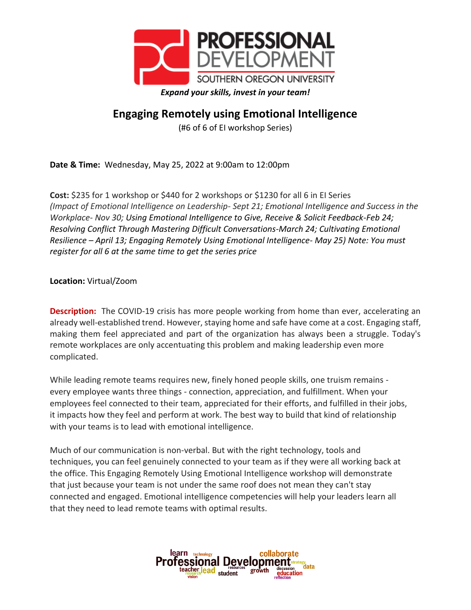

## **Engaging Remotely using Emotional Intelligence**

(#6 of 6 of EI workshop Series)

**Date & Time:** Wednesday, May 25, 2022 at 9:00am to 12:00pm

**Cost:** \$235 for 1 workshop or \$440 for 2 workshops or \$1230 for all 6 in EI Series *(Impact of Emotional Intelligence on Leadership- Sept 21; Emotional Intelligence and Success in the Workplace- Nov 30; Using Emotional Intelligence to Give, Receive & Solicit Feedback-Feb 24; Resolving Conflict Through Mastering Difficult Conversations-March 24; Cultivating Emotional Resilience – April 13; Engaging Remotely Using Emotional Intelligence- May 25) Note: You must register for all 6 at the same time to get the series price*

**Location:** Virtual/Zoom

**Description:** The COVID-19 crisis has more people working from home than ever, accelerating an already well-established trend. However, staying home and safe have come at a cost. Engaging staff, making them feel appreciated and part of the organization has always been a struggle. Today's remote workplaces are only accentuating this problem and making leadership even more complicated.

While leading remote teams requires new, finely honed people skills, one truism remains every employee wants three things - connection, appreciation, and fulfillment. When your employees feel connected to their team, appreciated for their efforts, and fulfilled in their jobs, it impacts how they feel and perform at work. The best way to build that kind of relationship with your teams is to lead with emotional intelligence.

Much of our communication is non-verbal. But with the right technology, tools and techniques, you can feel genuinely connected to your team as if they were all working back at the office. This Engaging Remotely Using Emotional Intelligence workshop will demonstrate that just because your team is not under the same roof does not mean they can't stay connected and engaged. Emotional intelligence competencies will help your leaders learn all that they need to lead remote teams with optimal results.